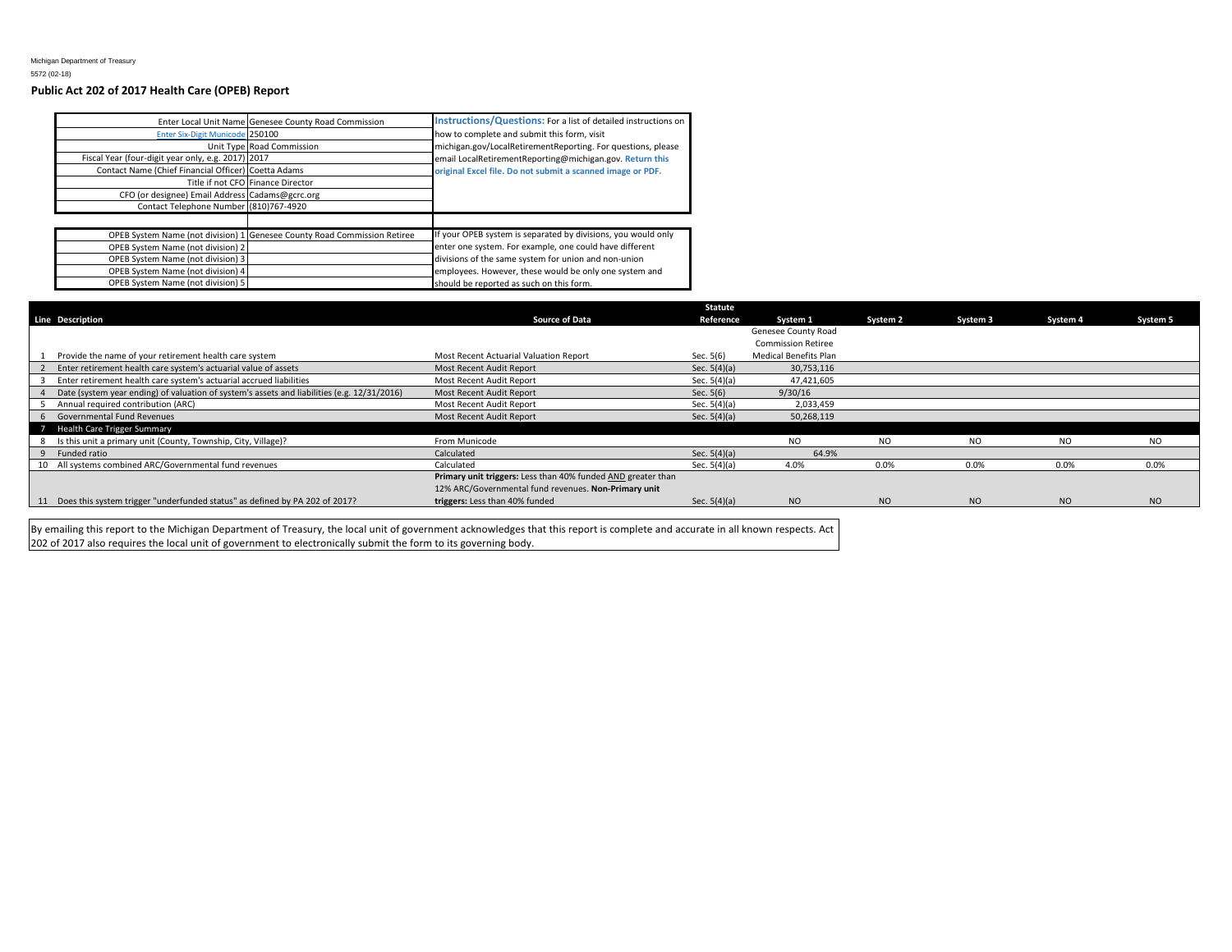## **Public Act 202 of 2017 Health Care (OPEB) Report**

| Enter Six-Digit Municode 250100<br>Fiscal Year (four-digit year only, e.g. 2017) 2017<br>Contact Name (Chief Financial Officer) Coetta Adams<br>CFO (or designee) Email Address Cadams@gcrc.org<br>Contact Telephone Number (810)767-4920 | Enter Local Unit Name Genesee County Road Commission<br>Unit Type Road Commission<br>Title if not CFO Finance Director | <b>Instructions/Questions:</b> For a list of detailed instructions on<br>how to complete and submit this form, visit<br>michigan.gov/LocalRetirementReporting. For questions, please<br>email LocalRetirementReporting@michigan.gov. Return this<br>original Excel file. Do not submit a scanned image or PDF. |
|-------------------------------------------------------------------------------------------------------------------------------------------------------------------------------------------------------------------------------------------|------------------------------------------------------------------------------------------------------------------------|----------------------------------------------------------------------------------------------------------------------------------------------------------------------------------------------------------------------------------------------------------------------------------------------------------------|
|                                                                                                                                                                                                                                           |                                                                                                                        |                                                                                                                                                                                                                                                                                                                |
| OPEB System Name (not division) 2<br>OPEB System Name (not division) 3<br>OPEB System Name (not division) 4<br>OPEB System Name (not division) 5                                                                                          | OPEB System Name (not division) 1 Genesee County Road Commission Retiree                                               | If your OPEB system is separated by divisions, you would only<br>enter one system. For example, one could have different<br>divisions of the same system for union and non-union<br>employees. However, these would be only one system and<br>should be reported as such on this form.                         |

|                                                                                             |                                                              | <b>Statute</b> |                           |          |                |                |           |
|---------------------------------------------------------------------------------------------|--------------------------------------------------------------|----------------|---------------------------|----------|----------------|----------------|-----------|
| <b>Line Description</b>                                                                     | <b>Source of Data</b>                                        | Reference      | System 1                  | System 2 | System 3       | System 4       | System 5  |
|                                                                                             |                                                              |                | Genesee County Road       |          |                |                |           |
|                                                                                             |                                                              |                | <b>Commission Retiree</b> |          |                |                |           |
| Provide the name of your retirement health care system                                      | Most Recent Actuarial Valuation Report                       | Sec. 5(6)      | Medical Benefits Plan     |          |                |                |           |
| Enter retirement health care system's actuarial value of assets                             | Most Recent Audit Report                                     | Sec. $5(4)(a)$ | 30,753,116                |          |                |                |           |
| Enter retirement health care system's actuarial accrued liabilities                         | Most Recent Audit Report                                     | Sec. $5(4)(a)$ | 47,421,605                |          |                |                |           |
| Date (system year ending) of valuation of system's assets and liabilities (e.g. 12/31/2016) | Most Recent Audit Report                                     | Sec. $5(6)$    | 9/30/16                   |          |                |                |           |
| Annual required contribution (ARC)                                                          | Most Recent Audit Report                                     | Sec. $5(4)(a)$ | 2,033,459                 |          |                |                |           |
| 6 Governmental Fund Revenues                                                                | Most Recent Audit Report                                     | Sec. $5(4)(a)$ | 50,268,119                |          |                |                |           |
| 7 Health Care Trigger Summary                                                               |                                                              |                |                           |          |                |                |           |
| Is this unit a primary unit (County, Township, City, Village)?<br>8                         | From Municode                                                |                | NO.                       | NO.      | N <sub>O</sub> | NO.            | NO.       |
| 9 Funded ratio                                                                              | Calculated                                                   | Sec. $5(4)(a)$ | 64.9%                     |          |                |                |           |
| 10 All systems combined ARC/Governmental fund revenues                                      | Calculated                                                   | Sec. $5(4)(a)$ | 4.0%                      | 0.0%     | 0.0%           | 0.0%           | 0.0%      |
|                                                                                             | Primary unit triggers: Less than 40% funded AND greater than |                |                           |          |                |                |           |
|                                                                                             | 12% ARC/Governmental fund revenues. Non-Primary unit         |                |                           |          |                |                |           |
| 11 Does this system trigger "underfunded status" as defined by PA 202 of 2017?              | triggers: Less than 40% funded                               | Sec. $5(4)(a)$ | NO.                       | NO.      | <b>NO</b>      | N <sub>O</sub> | <b>NO</b> |

By emailing this report to the Michigan Department of Treasury, the local unit of government acknowledges that this report is complete and accurate in all known respects. Act 202 of 2017 also requires the local unit of government to electronically submit the form to its governing body.